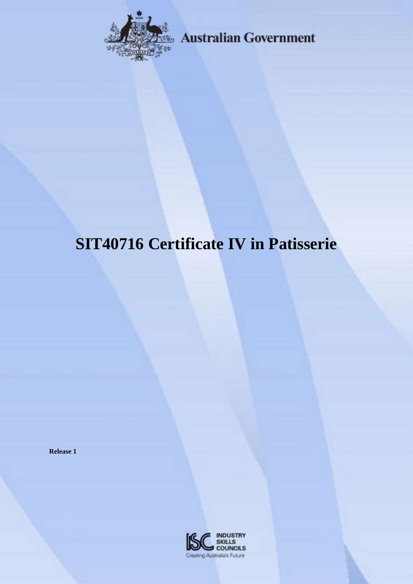

**Australian Government** 

# **SIT40716 Certificate IV in Patisserie**

**Release 1**

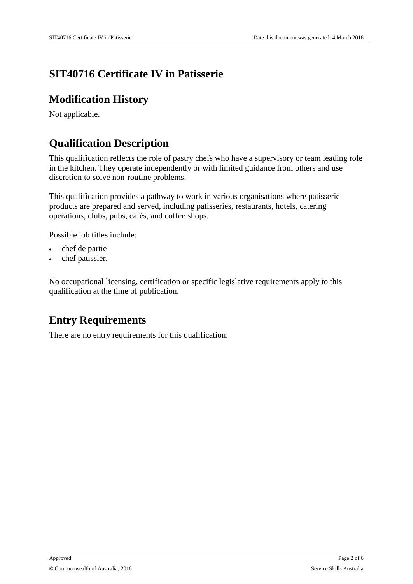### **SIT40716 Certificate IV in Patisserie**

### **Modification History**

Not applicable.

# **Qualification Description**

This qualification reflects the role of pastry chefs who have a supervisory or team leading role in the kitchen. They operate independently or with limited guidance from others and use discretion to solve non-routine problems.

This qualification provides a pathway to work in various organisations where patisserie products are prepared and served, including patisseries, restaurants, hotels, catering operations, clubs, pubs, cafés, and coffee shops.

Possible job titles include:

- chef de partie
- chef patissier.

No occupational licensing, certification or specific legislative requirements apply to this qualification at the time of publication.

### **Entry Requirements**

There are no entry requirements for this qualification.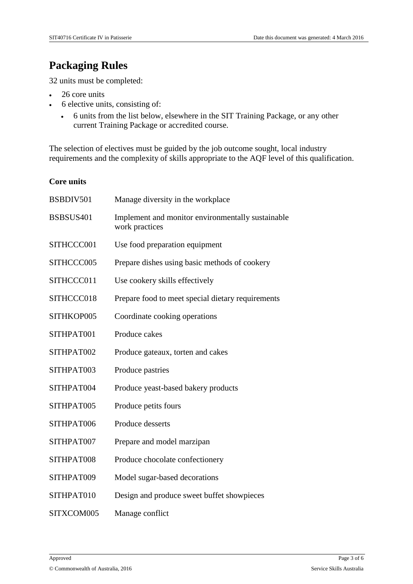# **Packaging Rules**

32 units must be completed:

- 26 core units
- 6 elective units, consisting of:
	- 6 units from the list below, elsewhere in the SIT Training Package, or any other current Training Package or accredited course.

The selection of electives must be guided by the job outcome sought, local industry requirements and the complexity of skills appropriate to the AQF level of this qualification.

#### **Core units**

| BSBDIV501  | Manage diversity in the workplace                                   |
|------------|---------------------------------------------------------------------|
| BSBSUS401  | Implement and monitor environmentally sustainable<br>work practices |
| SITHCCC001 | Use food preparation equipment                                      |
| SITHCCC005 | Prepare dishes using basic methods of cookery                       |
| SITHCCC011 | Use cookery skills effectively                                      |
| SITHCCC018 | Prepare food to meet special dietary requirements                   |
| SITHKOP005 | Coordinate cooking operations                                       |
| SITHPAT001 | Produce cakes                                                       |
| SITHPAT002 | Produce gateaux, torten and cakes                                   |
| SITHPAT003 | Produce pastries                                                    |
| SITHPAT004 | Produce yeast-based bakery products                                 |
| SITHPAT005 | Produce petits fours                                                |
| SITHPAT006 | Produce desserts                                                    |
| SITHPAT007 | Prepare and model marzipan                                          |
| SITHPAT008 | Produce chocolate confectionery                                     |
| SITHPAT009 | Model sugar-based decorations                                       |
| SITHPAT010 | Design and produce sweet buffet showpieces                          |
| SITXCOM005 | Manage conflict                                                     |
|            |                                                                     |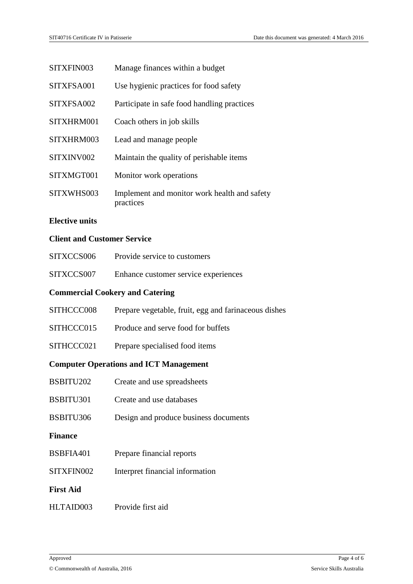| SITXFIN003 | Manage finances within a budget                           |
|------------|-----------------------------------------------------------|
| SITXFSA001 | Use hygienic practices for food safety                    |
| SITXFSA002 | Participate in safe food handling practices               |
| SITXHRM001 | Coach others in job skills                                |
| SITXHRM003 | Lead and manage people                                    |
| SITXINV002 | Maintain the quality of perishable items                  |
| SITXMGT001 | Monitor work operations                                   |
| SITXWHS003 | Implement and monitor work health and safety<br>practices |

#### **Elective units**

#### **Client and Customer Service**

| SITXCCS006 | Provide service to customers         |
|------------|--------------------------------------|
| SITXCCS007 | Enhance customer service experiences |

#### **Commercial Cookery and Catering**

| <b>Computer Operations and ICT Management</b> |                                                      |  |
|-----------------------------------------------|------------------------------------------------------|--|
| SITHCCC021                                    | Prepare specialised food items                       |  |
| SITHCCC015                                    | Produce and serve food for buffets                   |  |
| SITHCCC008                                    | Prepare vegetable, fruit, egg and farinaceous dishes |  |

- BSBITU202 Create and use spreadsheets
- BSBITU301 Create and use databases
- BSBITU306 Design and produce business documents
- **Finance**
- BSBFIA401 Prepare financial reports
- SITXFIN002 Interpret financial information

**First Aid**

HLTAID003 Provide first aid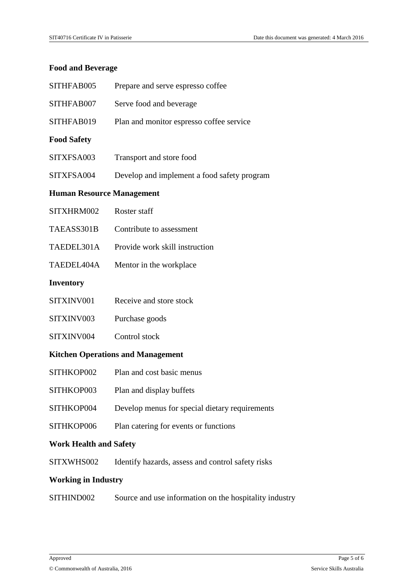#### **Food and Beverage**

| SITHFAB005                               | Prepare and serve espresso coffee                 |  |
|------------------------------------------|---------------------------------------------------|--|
| SITHFAB007                               | Serve food and beverage                           |  |
| SITHFAB019                               | Plan and monitor espresso coffee service          |  |
| <b>Food Safety</b>                       |                                                   |  |
| SITXFSA003                               | Transport and store food                          |  |
| SITXFSA004                               | Develop and implement a food safety program       |  |
| <b>Human Resource Management</b>         |                                                   |  |
| SITXHRM002                               | Roster staff                                      |  |
| TAEASS301B                               | Contribute to assessment                          |  |
| TAEDEL301A                               | Provide work skill instruction                    |  |
| TAEDEL404A                               | Mentor in the workplace                           |  |
| <b>Inventory</b>                         |                                                   |  |
| SITXINV001                               | Receive and store stock                           |  |
| SITXINV003                               | Purchase goods                                    |  |
| SITXINV004                               | Control stock                                     |  |
| <b>Kitchen Operations and Management</b> |                                                   |  |
| SITHKOP002                               | Plan and cost basic menus                         |  |
| SITHKOP003                               | Plan and display buffets                          |  |
| SITHKOP004                               | Develop menus for special dietary requirements    |  |
| SITHKOP006                               | Plan catering for events or functions             |  |
| <b>Work Health and Safety</b>            |                                                   |  |
| SITXWHS002                               | Identify hazards, assess and control safety risks |  |
| <b>Working in Industry</b>               |                                                   |  |

SITHIND002 Source and use information on the hospitality industry